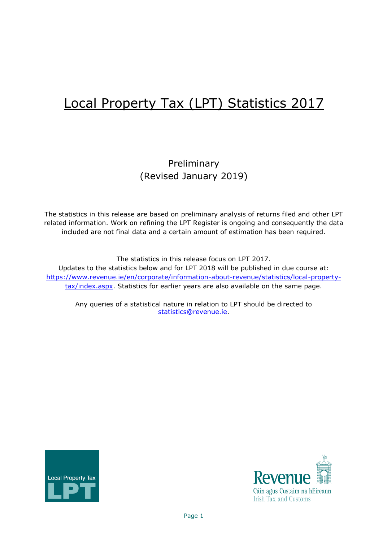# Local Property Tax (LPT) Statistics 2017

## Preliminary (Revised January 2019)

The statistics in this release are based on preliminary analysis of returns filed and other LPT related information. Work on refining the LPT Register is ongoing and consequently the data included are not final data and a certain amount of estimation has been required.

The statistics in this release focus on LPT 2017. Updates to the statistics below and for LPT 2018 will be published in due course at: [https://www.revenue.ie/en/corporate/information-about-revenue/statistics/local-property](https://www.revenue.ie/en/corporate/information-about-revenue/statistics/local-property-tax/index.aspx)[tax/index.aspx.](https://www.revenue.ie/en/corporate/information-about-revenue/statistics/local-property-tax/index.aspx) Statistics for earlier years are also available on the same page.

Any queries of a statistical nature in relation to LPT should be directed to [statistics@revenue.ie.](mailto:statistics@revenue.ie)



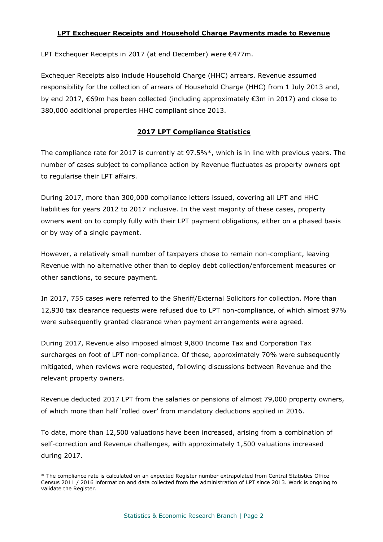#### **LPT Exchequer Receipts and Household Charge Payments made to Revenue**

LPT Exchequer Receipts in 2017 (at end December) were €477m.

Exchequer Receipts also include Household Charge (HHC) arrears. Revenue assumed responsibility for the collection of arrears of Household Charge (HHC) from 1 July 2013 and, by end 2017, €69m has been collected (including approximately €3m in 2017) and close to 380,000 additional properties HHC compliant since 2013.

### **2017 LPT Compliance Statistics**

The compliance rate for 2017 is currently at 97.5%\*, which is in line with previous years. The number of cases subject to compliance action by Revenue fluctuates as property owners opt to regularise their LPT affairs.

During 2017, more than 300,000 compliance letters issued, covering all LPT and HHC liabilities for years 2012 to 2017 inclusive. In the vast majority of these cases, property owners went on to comply fully with their LPT payment obligations, either on a phased basis or by way of a single payment.

However, a relatively small number of taxpayers chose to remain non-compliant, leaving Revenue with no alternative other than to deploy debt collection/enforcement measures or other sanctions, to secure payment.

In 2017, 755 cases were referred to the Sheriff/External Solicitors for collection. More than 12,930 tax clearance requests were refused due to LPT non-compliance, of which almost 97% were subsequently granted clearance when payment arrangements were agreed.

During 2017, Revenue also imposed almost 9,800 Income Tax and Corporation Tax surcharges on foot of LPT non-compliance. Of these, approximately 70% were subsequently mitigated, when reviews were requested, following discussions between Revenue and the relevant property owners.

Revenue deducted 2017 LPT from the salaries or pensions of almost 79,000 property owners, of which more than half 'rolled over' from mandatory deductions applied in 2016.

To date, more than 12,500 valuations have been increased, arising from a combination of self-correction and Revenue challenges, with approximately 1,500 valuations increased during 2017.

<sup>\*</sup> The compliance rate is calculated on an expected Register number extrapolated from Central Statistics Office Census 2011 / 2016 information and data collected from the administration of LPT since 2013. Work is ongoing to validate the Register.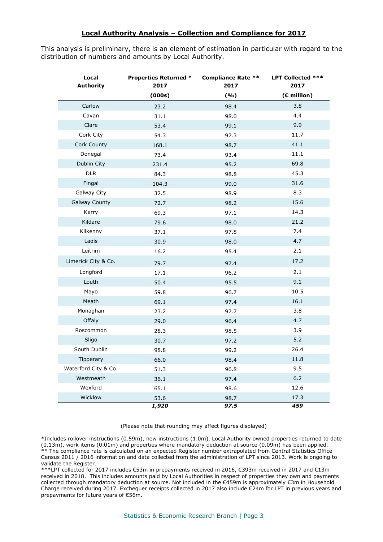#### **Local Authority Analysis – Collection and Compliance for 2017**

This analysis is preliminary, there is an element of estimation in particular with regard to the distribution of numbers and amounts by Local Authority.

| Local<br><b>Authority</b> | <b>Properties Returned *</b><br>2017 | <b>Compliance Rate **</b><br>2017 | LPT Collected ***<br>2017 |  |
|---------------------------|--------------------------------------|-----------------------------------|---------------------------|--|
|                           | (000s)                               | (%)                               | (€ million)               |  |
| Carlow                    | 23.2                                 | 98.4                              | 3.8                       |  |
| Cavan                     | 31.1                                 | 98.0                              | 4.4                       |  |
| Clare                     | 53.4                                 | 99.1                              | 9.9                       |  |
| Cork City                 | 54.3                                 | 97.3                              | 11.7                      |  |
| Cork County               | 168.1                                | 98.7                              | 41.1                      |  |
| Donegal                   | 73.4                                 | 93.4                              | 11.1                      |  |
| Dublin City               | 231.4                                | 95.2                              | 69.8                      |  |
| DLR                       | 84.3                                 | 98.8                              | 45.3                      |  |
| Fingal                    | 104.3                                | 99.0                              | 31.6                      |  |
| Galway City               | 32.5                                 | 98.9                              | 8.3                       |  |
| <b>Galway County</b>      | 72.7                                 | 98.2                              | 15.6                      |  |
| Kerry                     | 69.3                                 | 97.1                              | 14.3                      |  |
| Kildare                   | 79.6                                 | 98.0                              | 21.2                      |  |
| Kilkenny                  | 37.1                                 | 97.8                              | 7.4                       |  |
| Laois                     | 30.9                                 | 98.0                              | 4.7                       |  |
| Leitrim                   | 16.2                                 | 95.4                              | 2.1                       |  |
| Limerick City & Co.       | 79.7                                 | 97.4                              | 17.2                      |  |
| Longford                  | 17.1                                 | 96.2                              | 2.1                       |  |
| Louth                     | 50.4                                 | 95.5                              | 9.1                       |  |
| Mayo                      | 59.8                                 | 96.7                              | 10.5                      |  |
| Meath                     | 69.1                                 | 97.4                              | 16.1                      |  |
| Monaghan                  | 23.2                                 | 97.7                              | 3.8                       |  |
| Offaly                    | 29.0                                 | 96.4                              | 4.7                       |  |
| Roscommon                 | 28.3                                 | 98.5                              | 3.9                       |  |
| Sligo                     | 30.7                                 | 97.2                              | 5.2                       |  |
| South Dublin              | 98.8                                 | 99.2                              | 26.4                      |  |
| Tipperary                 | 66.0                                 | 98.4                              | 11.8                      |  |
| Waterford City & Co.      | 51.3                                 | 96.8                              | 9.5                       |  |
| Westmeath                 | 36.1                                 | 97.4                              | $6.2$                     |  |
| Wexford                   | 65.1                                 | 98.6                              | 12.6                      |  |
| Wicklow                   | 53.6                                 | 98.7                              | 17.3                      |  |
|                           | 1,920                                | 97.5                              | 459                       |  |

#### (Please note that rounding may affect figures displayed)

\*Includes rollover instructions (0.59m), new instructions (1.0m), Local Authority owned properties returned to date (0.13m), work items (0.01m) and properties where mandatory deduction at source (0.09m) has been applied. \*\* The compliance rate is calculated on an expected Register number extrapolated from Central Statistics Office Census 2011 / 2016 information and data collected from the administration of LPT since 2013. Work is ongoing to validate the Register.

\*\*\*LPT collected for 2017 includes €53m in prepayments received in 2016, €393m received in 2017 and €13m received in 2018. This includes amounts paid by Local Authorities in respect of properties they own and payments collected through mandatory deduction at source. Not included in the €459m is approximately €3m in Household Charge received during 2017. Exchequer receipts collected in 2017 also include €24m for LPT in previous years and prepayments for future years of €56m.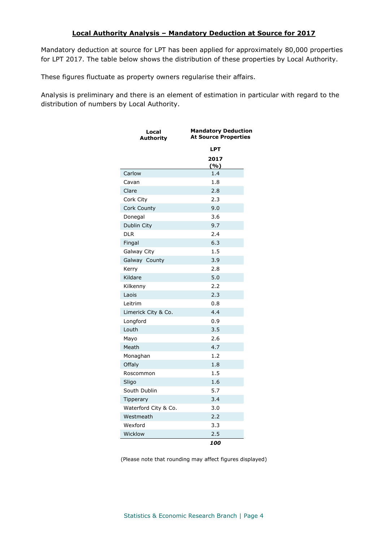#### **Local Authority Analysis – Mandatory Deduction at Source for 2017**

Mandatory deduction at source for LPT has been applied for approximately 80,000 properties for LPT 2017. The table below shows the distribution of these properties by Local Authority.

These figures fluctuate as property owners regularise their affairs.

Analysis is preliminary and there is an element of estimation in particular with regard to the distribution of numbers by Local Authority.

| Local<br><b>Authority</b> | <b>Mandatory Deduction</b><br><b>At Source Properties</b> |
|---------------------------|-----------------------------------------------------------|
|                           | LPT                                                       |
|                           | 2017                                                      |
|                           | (%)                                                       |
| Carlow                    | 1.4                                                       |
| Cavan                     | 1.8                                                       |
| Clare                     | 2.8                                                       |
| Cork City                 | 2.3                                                       |
| Cork County               | 9.0                                                       |
| Donegal                   | 3.6                                                       |
| Dublin City               | 9.7                                                       |
| <b>DLR</b>                | 2.4                                                       |
| Fingal                    | 6.3                                                       |
| Galway City               | 1.5                                                       |
| Galway County             | 3.9                                                       |
| Kerry                     | 2.8                                                       |
| Kildare                   | 5.0                                                       |
| Kilkenny                  | 2.2                                                       |
| Laois                     | 2.3                                                       |
| Leitrim                   | 0.8                                                       |
| Limerick City & Co.       | 4.4                                                       |
| Longford                  | 0.9                                                       |
| Louth                     | 3.5                                                       |
| Mayo                      | 2.6                                                       |
| Meath                     | 4.7                                                       |
| Monaghan                  | 1.2                                                       |
| Offaly                    | 1.8                                                       |
| Roscommon                 | 1.5                                                       |
| Sligo                     | 1.6                                                       |
| South Dublin              | 5.7                                                       |
| Tipperary                 | 3.4                                                       |
| Waterford City & Co.      | 3.0                                                       |
| Westmeath                 | 2.2                                                       |
| Wexford                   | 3.3                                                       |
| Wicklow                   | 2.5                                                       |
|                           | 100                                                       |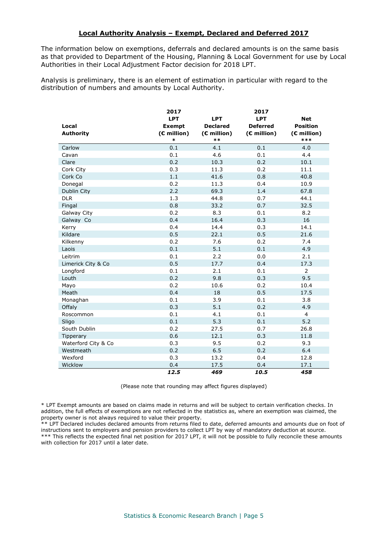#### **Local Authority Analysis – Exempt, Declared and Deferred 2017**

The information below on exemptions, deferrals and declared amounts is on the same basis as that provided to Department of the Housing, Planning & Local Government for use by Local Authorities in their Local Adjustment Factor decision for 2018 LPT.

Analysis is preliminary, there is an element of estimation in particular with regard to the distribution of numbers and amounts by Local Authority.

|                     | 2017<br><b>LPT</b> | <b>LPT</b>      | 2017<br><b>LPT</b> | <b>Net</b>      |
|---------------------|--------------------|-----------------|--------------------|-----------------|
| Local               | <b>Exempt</b>      | <b>Declared</b> | <b>Deferred</b>    | <b>Position</b> |
| <b>Authority</b>    | $(E$ million)      | $(E$ million)   | (€ million)        | (€ million)     |
|                     | $\ast$             | $**$            |                    | ***             |
| Carlow              | 0.1                | 4.1             | 0.1                | 4.0             |
| Cavan               | 0.1                | 4.6             | 0.1                | 4.4             |
| Clare               | 0.2                | 10.3            | 0.2                | 10.1            |
| Cork City           | 0.3                | 11.3            | 0.2                | 11.1            |
| Cork Co             | 1.1                | 41.6            | 0.8                | 40.8            |
| Donegal             | 0.2                | 11.3            | 0.4                | 10.9            |
| Dublin City         | 2.2                | 69.3            | 1.4                | 67.8            |
| <b>DLR</b>          | 1.3                | 44.8            | 0.7                | 44.1            |
| Fingal              | 0.8                | 33.2            | 0.7                | 32.5            |
| Galway City         | 0.2                | 8.3             | 0.1                | 8.2             |
| Galway Co           | 0.4                | 16.4            | 0.3                | 16              |
| Kerry               | 0.4                | 14.4            | 0.3                | 14.1            |
| Kildare             | 0.5                | 22.1            | 0.5                | 21.6            |
| Kilkenny            | 0.2                | 7.6             | 0.2                | 7.4             |
| Laois               | 0.1                | 5.1             | 0.1                | 4.9             |
| Leitrim             | 0.1                | 2.2             | 0.0                | 2.1             |
| Limerick City & Co  | 0.5                | 17.7            | 0.4                | 17.3            |
| Longford            | 0.1                | 2.1             | 0.1                | $\overline{2}$  |
| Louth               | 0.2                | 9.8             | 0.3                | 9.5             |
| Mayo                | 0.2                | 10.6            | 0.2                | 10.4            |
| Meath               | 0.4                | 18              | 0.5                | 17.5            |
| Monaghan            | 0.1                | 3.9             | 0.1                | 3.8             |
| Offaly              | 0.3                | 5.1             | 0.2                | 4.9             |
| Roscommon           | 0.1                | 4.1             | 0.1                | $\overline{4}$  |
| Sligo               | 0.1                | 5.3             | 0.1                | 5.2             |
| South Dublin        | 0.2                | 27.5            | 0.7                | 26.8            |
| Tipperary           | 0.6                | 12.1            | 0.3                | 11.8            |
| Waterford City & Co | 0.3                | 9.5             | 0.2                | 9.3             |
| Westmeath           | 0.2                | 6.5             | 0.2                | 6.4             |
| Wexford             | 0.3                | 13.2            | 0.4                | 12.8            |
| Wicklow             | 0.4                | 17.5            | 0.4                | 17.1            |
|                     | 12.5               | 469             | 10.5               | 458             |

(Please note that rounding may affect figures displayed)

\* LPT Exempt amounts are based on claims made in returns and will be subject to certain verification checks. In addition, the full effects of exemptions are not reflected in the statistics as, where an exemption was claimed, the property owner is not always required to value their property.

\*\* LPT Declared includes declared amounts from returns filed to date, deferred amounts and amounts due on foot of instructions sent to employers and pension providers to collect LPT by way of mandatory deduction at source. \*\*\* This reflects the expected final net position for 2017 LPT, it will not be possible to fully reconcile these amounts with collection for 2017 until a later date.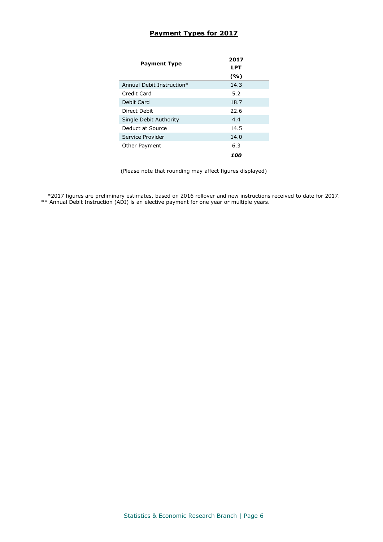### **Payment Types for 2017**

| <b>Payment Type</b>       | 2017<br>LPT |  |  |  |
|---------------------------|-------------|--|--|--|
|                           | (%)         |  |  |  |
| Annual Debit Instruction* | 14.3        |  |  |  |
| Credit Card               | 5.2         |  |  |  |
| Debit Card                | 18.7        |  |  |  |
| Direct Debit              | 22.6        |  |  |  |
| Single Debit Authority    | 4.4         |  |  |  |
| Deduct at Source          | 14.5        |  |  |  |
| Service Provider          | 14.0        |  |  |  |
| Other Payment             | 6.3         |  |  |  |
|                           | 100         |  |  |  |

(Please note that rounding may affect figures displayed)

\*2017 figures are preliminary estimates, based on 2016 rollover and new instructions received to date for 2017. \*\* Annual Debit Instruction (ADI) is an elective payment for one year or multiple years.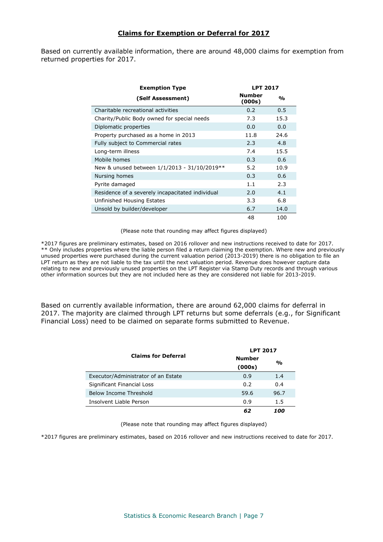#### **Claims for Exemption or Deferral for 2017**

Based on currently available information, there are around 48,000 claims for exemption from returned properties for 2017.

| <b>Exemption Type</b>                            | <b>LPT 2017</b>         |      |  |
|--------------------------------------------------|-------------------------|------|--|
| (Self Assessment)                                | <b>Number</b><br>(000s) | %    |  |
| Charitable recreational activities               | 0.2                     | 0.5  |  |
| Charity/Public Body owned for special needs      | 7.3                     | 15.3 |  |
| Diplomatic properties                            | 0.0                     | 0.0  |  |
| Property purchased as a home in 2013             | 11.8                    | 24.6 |  |
| Fully subject to Commercial rates                | 2.3                     | 4.8  |  |
| Long-term illness                                | 7.4                     | 15.5 |  |
| Mobile homes                                     | 0.3                     | 0.6  |  |
| New & unused between $1/1/2013 - 31/10/2019**$   | 5.2                     | 10.9 |  |
| Nursing homes                                    | 0.3                     | 0.6  |  |
| Pyrite damaged                                   | 1.1                     | 2.3  |  |
| Residence of a severely incapacitated individual | 2.0                     | 4.1  |  |
| Unfinished Housing Estates                       | 3.3                     | 6.8  |  |
| Unsold by builder/developer                      | 6.7                     | 14.0 |  |
|                                                  | 48                      | 100  |  |

(Please note that rounding may affect figures displayed)

\*2017 figures are preliminary estimates, based on 2016 rollover and new instructions received to date for 2017. \*\* Only includes properties where the liable person filed a return claiming the exemption. Where new and previously unused properties were purchased during the current valuation period (2013-2019) there is no obligation to file an LPT return as they are not liable to the tax until the next valuation period. Revenue does however capture data relating to new and previously unused properties on the LPT Register via Stamp Duty records and through various other information sources but they are not included here as they are considered not liable for 2013-2019.

Based on currently available information, there are around 62,000 claims for deferral in 2017. The majority are claimed through LPT returns but some deferrals (e.g., for Significant Financial Loss) need to be claimed on separate forms submitted to Revenue.

|                                     | <b>LPT 2017</b> |               |  |  |
|-------------------------------------|-----------------|---------------|--|--|
| <b>Claims for Deferral</b>          | <b>Number</b>   |               |  |  |
|                                     | (000s)          | $\frac{0}{0}$ |  |  |
| Executor/Administrator of an Estate | 0.9             | 1.4           |  |  |
| Significant Financial Loss          | 0.2             | 0.4           |  |  |
| Below Income Threshold              | 59.6            | 96.7          |  |  |
| Insolvent Liable Person             | 0.9             | 1.5           |  |  |
|                                     | 62              | 100           |  |  |

(Please note that rounding may affect figures displayed)

\*2017 figures are preliminary estimates, based on 2016 rollover and new instructions received to date for 2017.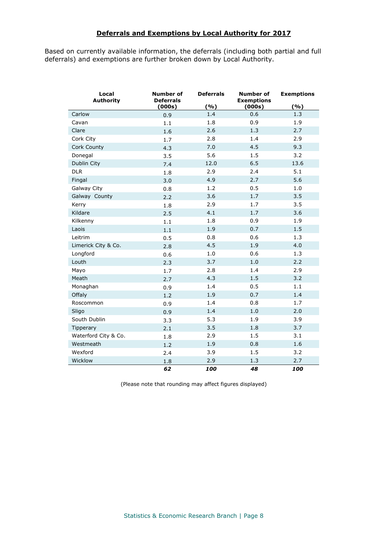#### **Deferrals and Exemptions by Local Authority for 2017**

Based on currently available information, the deferrals (including both partial and full deferrals) and exemptions are further broken down by Local Authority.

| Local<br><b>Authority</b> | Number of<br><b>Deferrals</b><br>(000s) | <b>Deferrals</b><br>(%) | <b>Number of</b><br><b>Exemptions</b><br>(000s) | <b>Exemptions</b><br>(%) |  |
|---------------------------|-----------------------------------------|-------------------------|-------------------------------------------------|--------------------------|--|
| Carlow                    | 0.9                                     | 1.4                     | 0.6                                             | 1.3                      |  |
| Cavan                     | 1.1                                     | 1.8                     | 0.9                                             | 1.9                      |  |
| Clare                     | 1.6                                     | 2.6                     | 1.3                                             | 2.7                      |  |
| Cork City                 | 1.7                                     | 2.8                     | 1.4                                             | 2.9                      |  |
| Cork County               | 4.3                                     | 7.0                     | 4.5                                             | 9.3                      |  |
| Donegal                   | 3.5                                     | 5.6                     | 1.5                                             | 3.2                      |  |
| Dublin City               | 7.4                                     | 12.0                    | 6.5                                             | 13.6                     |  |
| <b>DLR</b>                | 1.8                                     | 2.9                     | 2.4                                             | 5.1                      |  |
| Fingal                    | 3.0                                     | 4.9                     | 2.7                                             | 5.6                      |  |
| Galway City               | 0.8                                     | 1.2                     | 0.5                                             | 1.0                      |  |
| Galway County             | 2.2                                     | 3.6                     | 1.7                                             | 3.5                      |  |
| Kerry                     | 1.8                                     | 2.9                     | 1.7                                             | 3.5                      |  |
| Kildare                   | 2.5                                     | 4.1                     | 1.7                                             | 3.6                      |  |
| Kilkenny                  | 1.1                                     | 1.8                     | 0.9                                             | 1.9                      |  |
| Laois                     | $1.1\,$                                 | 1.9                     | 0.7                                             | 1.5                      |  |
| Leitrim                   | 0.5                                     | 0.8                     | 0.6                                             | 1.3                      |  |
| Limerick City & Co.       | 2.8                                     | 4.5                     | 1.9                                             | 4.0                      |  |
| Longford                  | 0.6                                     | 1.0                     | 0.6                                             | 1.3                      |  |
| Louth                     | 2.3                                     | 3.7                     | 1.0                                             | 2.2                      |  |
| Mayo                      | 1.7                                     | 2.8                     | 1.4                                             | 2.9                      |  |
| Meath                     | 2.7                                     | 4.3                     | 1.5                                             | 3.2                      |  |
| Monaghan                  | 0.9                                     | 1.4                     | 0.5                                             | 1.1                      |  |
| Offaly                    | 1.2                                     | 1.9                     | 0.7                                             | 1.4                      |  |
| Roscommon                 | 0.9                                     | 1.4                     | 0.8                                             | 1.7                      |  |
| Sligo                     | 0.9                                     | 1.4                     | 1.0                                             | 2.0                      |  |
| South Dublin              | 3.3                                     | 5.3                     | 1.9                                             | 3.9                      |  |
| Tipperary                 | 2.1                                     | 3.5                     | 1.8                                             | 3.7                      |  |
| Waterford City & Co.      | 1.8                                     | 2.9                     | 1.5                                             | 3.1                      |  |
| Westmeath                 | 1.2                                     | 1.9                     | 0.8                                             | 1.6                      |  |
| Wexford                   | 2.4                                     | 3.9                     | 1.5                                             | 3.2                      |  |
| Wicklow                   | 1.8                                     | 2.9                     | 1.3                                             | 2.7                      |  |
|                           | 62                                      | 100                     | 48                                              | 100                      |  |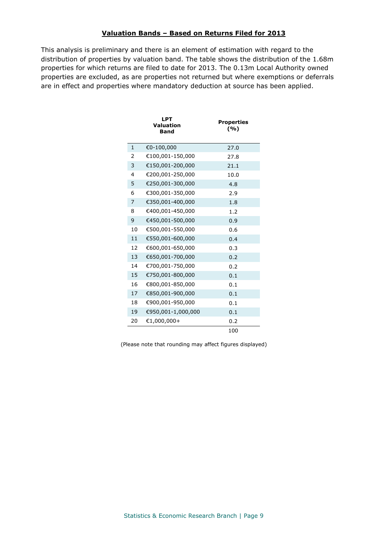#### **Valuation Bands – Based on Returns Filed for 2013**

This analysis is preliminary and there is an element of estimation with regard to the distribution of properties by valuation band. The table shows the distribution of the 1.68m properties for which returns are filed to date for 2013. The 0.13m Local Authority owned properties are excluded, as are properties not returned but where exemptions or deferrals are in effect and properties where mandatory deduction at source has been applied.

|              | <b>LPT</b><br>Valuation<br><b>Band</b> | <b>Properties</b><br>(%) |
|--------------|----------------------------------------|--------------------------|
| $\mathbf{1}$ | €0-100,000                             | 27.0                     |
| 2            | €100,001-150,000                       | 27.8                     |
| 3            | €150,001-200,000                       | 21.1                     |
| 4            | €200,001-250,000                       | 10.0                     |
| 5            | €250,001-300,000                       | 4.8                      |
| 6            | €300,001-350,000                       | 2.9                      |
| 7            | €350,001-400,000                       | 1.8                      |
| 8            | €400,001-450,000                       | 1.2                      |
| 9            | €450,001-500,000                       | 0.9                      |
| 10           | €500,001-550,000                       | 0.6                      |
| 11           | €550,001-600,000                       | 0.4                      |
| 12           | €600,001-650,000                       | 0.3                      |
| 13           | €650,001-700,000                       | 0.2                      |
| 14           | €700,001-750,000                       | 0.2                      |
| 15           | €750,001-800,000                       | 0.1                      |
| 16           | €800,001-850,000                       | 0.1                      |
| 17           | €850,001-900,000                       | 0.1                      |
| 18           | €900,001-950,000                       | 0.1                      |
| 19           | €950,001-1,000,000                     | 0.1                      |
| 20           | $€1,000,000+$                          | 0.2                      |
|              |                                        | 100                      |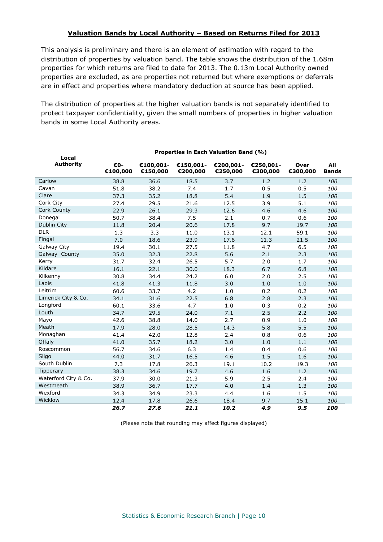#### **Valuation Bands by Local Authority – Based on Returns Filed for 2013**

This analysis is preliminary and there is an element of estimation with regard to the distribution of properties by valuation band. The table shows the distribution of the 1.68m properties for which returns are filed to date for 2013. The 0.13m Local Authority owned properties are excluded, as are properties not returned but where exemptions or deferrals are in effect and properties where mandatory deduction at source has been applied.

The distribution of properties at the higher valuation bands is not separately identified to protect taxpayer confidentiality, given the small numbers of properties in higher valuation bands in some Local Authority areas.

| Local                | Properties in Each Valuation Band (%) |                       |                       |                       |                       |                  |                     |  |
|----------------------|---------------------------------------|-----------------------|-----------------------|-----------------------|-----------------------|------------------|---------------------|--|
| <b>Authority</b>     | €0-<br>€100,000                       | €100,001-<br>€150,000 | €150,001-<br>€200,000 | €200,001-<br>€250,000 | €250,001-<br>€300,000 | Over<br>€300,000 | All<br><b>Bands</b> |  |
| Carlow               | 38.8                                  | 36.6                  | 18.5                  | 3.7                   | 1.2                   | 1.2              | 100                 |  |
| Cavan                | 51.8                                  | 38.2                  | 7.4                   | 1.7                   | 0.5                   | 0.5              | 100                 |  |
| Clare                | 37.3                                  | 35.2                  | 18.8                  | 5.4                   | 1.9                   | 1.5              | 100                 |  |
| Cork City            | 27.4                                  | 29.5                  | 21.6                  | 12.5                  | 3.9                   | 5.1              | 100                 |  |
| Cork County          | 22.9                                  | 26.1                  | 29.3                  | 12.6                  | 4.6                   | 4.6              | 100                 |  |
| Donegal              | 50.7                                  | 38.4                  | 7.5                   | 2.1                   | 0.7                   | 0.6              | 100                 |  |
| Dublin City          | 11.8                                  | 20.4                  | 20.6                  | 17.8                  | 9.7                   | 19.7             | 100                 |  |
| <b>DLR</b>           | 1.3                                   | 3.3                   | 11.0                  | 13.1                  | 12.1                  | 59.1             | 100                 |  |
| Fingal               | 7.0                                   | 18.6                  | 23.9                  | 17.6                  | 11.3                  | 21.5             | 100                 |  |
| Galway City          | 19.4                                  | 30.1                  | 27.5                  | 11.8                  | 4.7                   | 6.5              | 100                 |  |
| Galway County        | 35.0                                  | 32.3                  | 22.8                  | 5.6                   | 2.1                   | 2.3              | 100                 |  |
| Kerry                | 31.7                                  | 32.4                  | 26.5                  | 5.7                   | 2.0                   | 1.7              | 100                 |  |
| Kildare              | 16.1                                  | 22.1                  | 30.0                  | 18.3                  | 6.7                   | 6.8              | 100                 |  |
| Kilkenny             | 30.8                                  | 34.4                  | 24.2                  | 6.0                   | 2.0                   | 2.5              | 100                 |  |
| Laois                | 41.8                                  | 41.3                  | 11.8                  | 3.0                   | 1.0                   | 1.0              | 100                 |  |
| Leitrim              | 60.6                                  | 33.7                  | 4.2                   | $1.0\,$               | 0.2                   | 0.2              | 100                 |  |
| Limerick City & Co.  | 34.1                                  | 31.6                  | 22.5                  | 6.8                   | 2.8                   | 2.3              | 100                 |  |
| Longford             | 60.1                                  | 33.6                  | 4.7                   | 1.0                   | 0.3                   | 0.2              | 100                 |  |
| Louth                | 34.7                                  | 29.5                  | 24.0                  | 7.1                   | 2.5                   | 2.2              | 100                 |  |
| Mayo                 | 42.6                                  | 38.8                  | 14.0                  | 2.7                   | 0.9                   | $1.0\,$          | 100                 |  |
| Meath                | 17.9                                  | 28.0                  | 28.5                  | 14.3                  | 5.8                   | 5.5              | 100                 |  |
| Monaghan             | 41.4                                  | 42.0                  | 12.8                  | 2.4                   | 0.8                   | 0.6              | 100                 |  |
| Offaly               | 41.0                                  | 35.7                  | 18.2                  | 3.0                   | 1.0                   | 1.1              | 100                 |  |
| Roscommon            | 56.7                                  | 34.6                  | 6.3                   | 1.4                   | 0.4                   | 0.6              | 100                 |  |
| Sligo                | 44.0                                  | 31.7                  | 16.5                  | 4.6                   | 1.5                   | 1.6              | 100                 |  |
| South Dublin         | 7.3                                   | 17.8                  | 26.3                  | 19.1                  | 10.2                  | 19.3             | 100                 |  |
| <b>Tipperary</b>     | 38.3                                  | 34.6                  | 19.7                  | 4.6                   | 1.6                   | 1.2              | 100                 |  |
| Waterford City & Co. | 37.9                                  | 30.0                  | 21.3                  | 5.9                   | 2.5                   | 2.4              | 100                 |  |
| Westmeath            | 38.9                                  | 36.7                  | 17.7                  | 4.0                   | 1.4                   | 1.3              | 100                 |  |
| Wexford              | 34.3                                  | 34.9                  | 23.3                  | 4.4                   | 1.6                   | 1.5              | 100                 |  |
| Wicklow              | 12.4                                  | 17.8                  | 26.6                  | 18.4                  | 9.7                   | 15.1             | 100                 |  |
|                      | 26.7                                  | 27.6                  | 21.1                  | 10.2                  | 4.9                   | 9.5              | 100                 |  |

**Properties in Each Valuation Band (%)**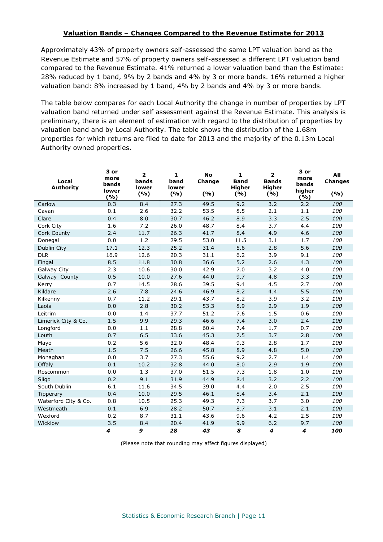#### **Valuation Bands – Changes Compared to the Revenue Estimate for 2013**

Approximately 43% of property owners self-assessed the same LPT valuation band as the Revenue Estimate and 57% of property owners self-assessed a different LPT valuation band compared to the Revenue Estimate. 41% returned a lower valuation band than the Estimate: 28% reduced by 1 band, 9% by 2 bands and 4% by 3 or more bands. 16% returned a higher valuation band: 8% increased by 1 band, 4% by 2 bands and 4% by 3 or more bands.

The table below compares for each Local Authority the change in number of properties by LPT valuation band returned under self assessment against the Revenue Estimate. This analysis is preliminary, there is an element of estimation with regard to the distribution of properties by valuation band and by Local Authority. The table shows the distribution of the 1.68m properties for which returns are filed to date for 2013 and the majority of the 0.13m Local Authority owned properties.

| Local<br><b>Authority</b> | 3 or<br>more<br>bands<br>lower<br>(%) | $\overline{2}$<br>bands<br>lower<br>(%) | $\mathbf{1}$<br>band<br>lower<br>(%) | <b>No</b><br>Change<br>(%) | 1<br><b>Band</b><br><b>Higher</b><br>(%) | $\mathbf{2}$<br><b>Bands</b><br><b>Higher</b><br>(%) | 3 or<br>more<br>bands<br>higher<br>(%) | All<br><b>Changes</b><br>( %) |
|---------------------------|---------------------------------------|-----------------------------------------|--------------------------------------|----------------------------|------------------------------------------|------------------------------------------------------|----------------------------------------|-------------------------------|
| Carlow                    | 0.3                                   | 8.4                                     | 27.3                                 | 49.5                       | 9.2                                      | 3.2                                                  | 2.2                                    | 100                           |
| Cavan                     | 0.1                                   | 2.6                                     | 32.2                                 | 53.5                       | 8.5                                      | 2.1                                                  | $1.1\,$                                | 100                           |
| Clare                     | 0.4                                   | 8.0                                     | 30.7                                 | 46.2                       | 8.9                                      | 3.3                                                  | 2.5                                    | 100                           |
| Cork City                 | 1.6                                   | 7.2                                     | 26.0                                 | 48.7                       | 8.4                                      | 3.7                                                  | 4.4                                    | 100                           |
| Cork County               | 2.4                                   | 11.7                                    | 26.3                                 | 41.7                       | 8.4                                      | 4.9                                                  | 4.6                                    | 100                           |
| Donegal                   | 0.0                                   | 1.2                                     | 29.5                                 | 53.0                       | 11.5                                     | 3.1                                                  | 1.7                                    | 100                           |
| Dublin City               | 17.1                                  | 12.3                                    | 25.2                                 | 31.4                       | 5.6                                      | 2.8                                                  | 5.6                                    | 100                           |
| <b>DLR</b>                | 16.9                                  | 12.6                                    | 20.3                                 | 31.1                       | 6.2                                      | 3.9                                                  | 9.1                                    | 100                           |
| Fingal                    | 8.5                                   | 11.8                                    | 30.8                                 | 36.6                       | 5.2                                      | 2.6                                                  | 4.3                                    | 100                           |
| Galway City               | 2.3                                   | 10.6                                    | 30.0                                 | 42.9                       | 7.0                                      | 3.2                                                  | 4.0                                    | 100                           |
| Galway County             | 0.5                                   | 10.0                                    | 27.6                                 | 44.0                       | 9.7                                      | 4.8                                                  | 3.3                                    | 100                           |
| Kerry                     | 0.7                                   | 14.5                                    | 28.6                                 | 39.5                       | 9.4                                      | 4.5                                                  | 2.7                                    | 100                           |
| Kildare                   | 2.6                                   | 7.8                                     | 24.6                                 | 46.9                       | 8.2                                      | 4.4                                                  | 5.5                                    | 100                           |
| Kilkenny                  | 0.7                                   | 11.2                                    | 29.1                                 | 43.7                       | 8.2                                      | 3.9                                                  | 3.2                                    | 100                           |
| Laois                     | 0.0                                   | 2.8                                     | 30.2                                 | 53.3                       | 8.9                                      | 2.9                                                  | 1.9                                    | 100                           |
| Leitrim                   | 0.0                                   | 1.4                                     | 37.7                                 | 51.2                       | 7.6                                      | 1.5                                                  | 0.6                                    | 100                           |
| Limerick City & Co.       | 1.5                                   | 9.9                                     | 29.3                                 | 46.6                       | 7.4                                      | 3.0                                                  | 2.4                                    | 100                           |
| Longford                  | 0.0                                   | 1.1                                     | 28.8                                 | 60.4                       | 7.4                                      | 1.7                                                  | 0.7                                    | 100                           |
| Louth                     | 0.7                                   | 6.5                                     | 33.6                                 | 45.3                       | 7.5                                      | 3.7                                                  | 2.8                                    | 100                           |
| Mayo                      | 0.2                                   | 5.6                                     | 32.0                                 | 48.4                       | 9.3                                      | 2.8                                                  | 1.7                                    | 100                           |
| Meath                     | 1.5                                   | 7.5                                     | 26.6                                 | 45.8                       | 8.9                                      | 4.8                                                  | 5.0                                    | 100                           |
| Monaghan                  | 0.0                                   | 3.7                                     | 27.3                                 | 55.6                       | 9.2                                      | 2.7                                                  | 1.4                                    | 100                           |
| Offaly                    | 0.1                                   | 10.2                                    | 32.8                                 | 44.0                       | 8.0                                      | 2.9                                                  | 1.9                                    | 100                           |
| Roscommon                 | 0.0                                   | 1.3                                     | 37.0                                 | 51.5                       | 7.3                                      | 1.8                                                  | 1.0                                    | 100                           |
| Sligo                     | 0.2                                   | 9.1                                     | 31.9                                 | 44.9                       | 8.4                                      | 3.2                                                  | 2.2                                    | 100                           |
| South Dublin              | 6.1                                   | 11.6                                    | 34.5                                 | 39.0                       | 4.4                                      | 2.0                                                  | 2.5                                    | 100                           |
| Tipperary                 | 0.4                                   | 10.0                                    | 29.5                                 | 46.1                       | 8.4                                      | 3.4                                                  | 2.1                                    | 100                           |
| Waterford City & Co.      | 0.8                                   | 10.5                                    | 25.3                                 | 49.3                       | 7.3                                      | 3.7                                                  | 3.0                                    | 100                           |
| Westmeath                 | 0.1                                   | 6.9                                     | 28.2                                 | 50.7                       | 8.7                                      | 3.1                                                  | 2.1                                    | 100                           |
| Wexford                   | 0.2                                   | 8.7                                     | 31.1                                 | 43.6                       | 9.6                                      | 4.2                                                  | 2.5                                    | 100                           |
| Wicklow                   | 3.5                                   | 8.4                                     | 20.4                                 | 41.9                       | 9.9                                      | 6.2                                                  | 9.7                                    | 100                           |
|                           | $\boldsymbol{4}$                      | 9                                       | 28                                   | 43                         | 8                                        | $\overline{\boldsymbol{4}}$                          | $\overline{\mathbf{4}}$                | 100                           |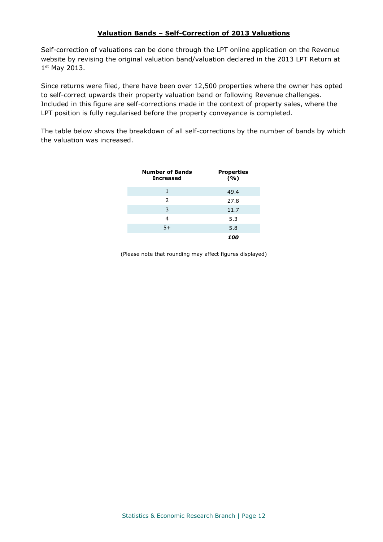#### **Valuation Bands – Self-Correction of 2013 Valuations**

Self-correction of valuations can be done through the LPT online application on the Revenue website by revising the original valuation band/valuation declared in the 2013 LPT Return at 1 st May 2013.

Since returns were filed, there have been over 12,500 properties where the owner has opted to self-correct upwards their property valuation band or following Revenue challenges. Included in this figure are self-corrections made in the context of property sales, where the LPT position is fully regularised before the property conveyance is completed.

The table below shows the breakdown of all self-corrections by the number of bands by which the valuation was increased.

| <b>Number of Bands</b><br><b>Increased</b> | <b>Properties</b><br>(%) |
|--------------------------------------------|--------------------------|
|                                            | 49.4                     |
| $\mathcal{P}$                              | 27.8                     |
| 3                                          | 11.7                     |
| 4                                          | 5.3                      |
| $5+$                                       | 5.8                      |
|                                            | 100                      |